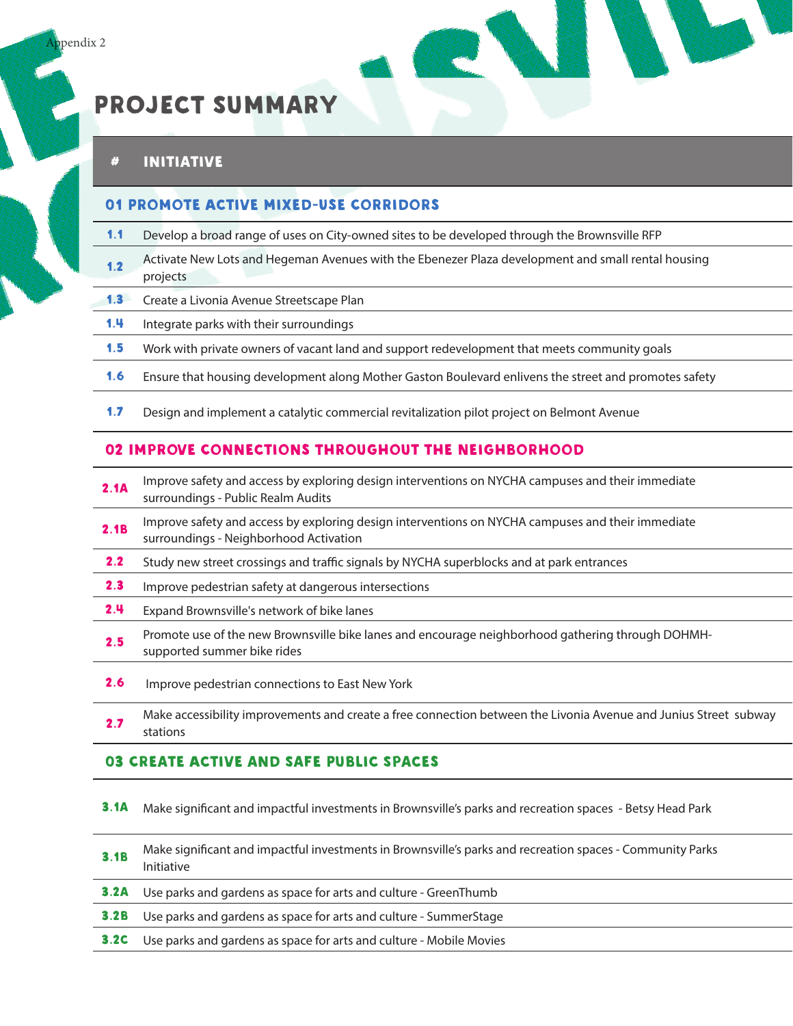# PROJECT Summary

## # Initiative Lead Agency Partners Estimated

#### 01 Promote Active Mixed-Use Corridors

- 1.1 Develop a broad range of uses on City-owned sites to be developed through the Brownsville RFP
- 1.2 Activate New Lots and Hegeman Avenues with the Ebenezer Plaza development and small rental housing<br>projects Activate New Lots and Hegeman Avenues with the Lbenezer Flaza development and small lental housing<br>projects
- **1.3** Create a Livonia Avenue Streetscape Plan
- 1.4 Integrate parks with their surroundings
- 1.5 Work with private owners of vacant land and support redevelopment that meets community goals
- 1.6 Ensure that housing development along Mother Gaston Boulevard enlivens the street and promotes safety
- 1.7 Design and implement a catalytic commercial revitalization pilot project on Belmont Avenue

#### 02 Improve Connections Throughout the Neighborhood

- 2.1A Improve safety and access by exploring design interventions on NYCHA campuses and their immediate surroundings Public Realm Audits miprove surety and decess by exploring design interventions on them campases and their immediate surety and decess by exploring design interventions on the intervention and their immediate
- 2.1B Improve safety and access by exploring design interventions on NYCHA campuses and their immediate surroundings Neighborhood Activation miprove surely and deeds by exploring design interventions on them campases and their immediate surely and deeds by exploring design interventions on the intervention.
- 2.2 Study new street crossings and traffic signals by NYCHA superblocks and at park entrances
- **2.3** Improve pedestrian safety at dangerous intersections
- **2.4** Expand Brownsville's network of bike lanes
- **2.5** Promote use of the new Brownsville bike lanes and encourage neighborhood gathering through DOHMH-<br>supported summer bike rides
- **2.6** Improve pedestrian connections to East New York
- 2.7 Make accessibility improvements and create a free connection between the Livonia Avenue and Junius Street subway<br>stations make accessibility improvements and ereate a nec connection between the Eivonia Avenue and sumus street subway<br>stations

#### 03 Create Active and Safe Public Spaces

- 3.1A Make significant and impactful investments in Brownsville's parks and recreation spaces Betsy Head Park
- **3.1B** Make significant and impactful investments in Brownsville's parks and recreation spaces Community Parks<br>Initiative
- **3.2A** Use parks and gardens as space for arts and culture GreenThumb
- **3.2B** Use parks and gardens as space for arts and culture SummerStage
- **3.2C** Use parks and gardens as space for arts and culture Mobile Movies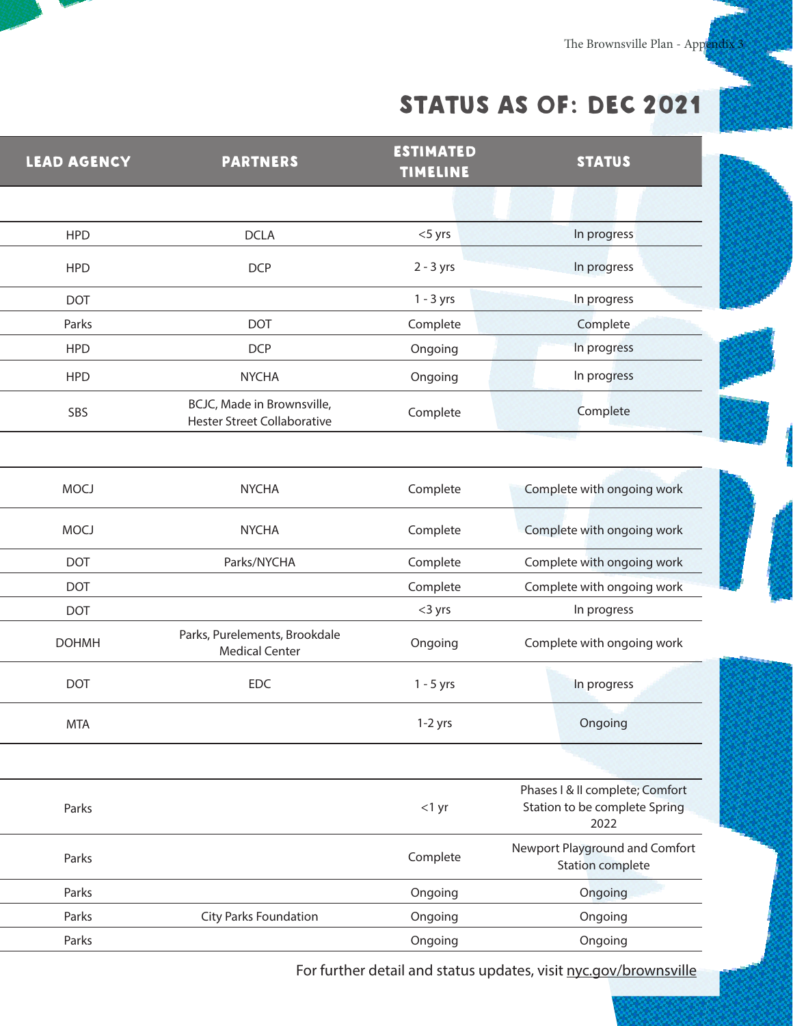The Brownsville Plan - Appendix 3

# STATUS AS OF: DEC 2021

| <b>LEAD AGENCY</b> | <b>PARTNERS</b>                                                  | <b>ESTIMATED</b><br>TIMELINE | <b>STATUS</b>                                                            |
|--------------------|------------------------------------------------------------------|------------------------------|--------------------------------------------------------------------------|
|                    |                                                                  |                              |                                                                          |
| <b>HPD</b>         | <b>DCLA</b>                                                      | $<$ 5 yrs                    | In progress                                                              |
| <b>HPD</b>         | <b>DCP</b>                                                       | $2 - 3$ yrs                  | In progress                                                              |
| <b>DOT</b>         |                                                                  | $1 - 3$ yrs                  | In progress                                                              |
| Parks              | DOT                                                              | Complete                     | Complete                                                                 |
| <b>HPD</b>         | <b>DCP</b>                                                       | Ongoing                      | In progress                                                              |
| <b>HPD</b>         | <b>NYCHA</b>                                                     | Ongoing                      | In progress                                                              |
| SBS                | BCJC, Made in Brownsville,<br><b>Hester Street Collaborative</b> | Complete                     | Complete                                                                 |
|                    |                                                                  |                              |                                                                          |
| <b>MOCJ</b>        | <b>NYCHA</b>                                                     | Complete                     | Complete with ongoing work                                               |
| <b>MOCJ</b>        | <b>NYCHA</b>                                                     | Complete                     | Complete with ongoing work                                               |
| <b>DOT</b>         | Parks/NYCHA                                                      | Complete                     | Complete with ongoing work                                               |
| DOT                |                                                                  | Complete                     | Complete with ongoing work                                               |
| DOT                |                                                                  | $<$ 3 yrs                    | In progress                                                              |
| <b>DOHMH</b>       | Parks, Purelements, Brookdale<br><b>Medical Center</b>           | Ongoing                      | Complete with ongoing work                                               |
| DOT                | EDC                                                              | $1 - 5$ yrs                  | In progress                                                              |
| MTA                |                                                                  | $1-2$ yrs                    | Ongoing                                                                  |
|                    |                                                                  |                              |                                                                          |
| Parks              |                                                                  | $<$ 1 yr                     | Phases   & II complete; Comfort<br>Station to be complete Spring<br>2022 |
| Parks              |                                                                  | Complete                     | Newport Playground and Comfort<br><b>Station complete</b>                |
| Parks              |                                                                  | Ongoing                      | Ongoing                                                                  |
| Parks              | City Parks Foundation                                            | Ongoing                      | Ongoing                                                                  |
| Parks              |                                                                  | Ongoing                      | Ongoing                                                                  |
|                    |                                                                  |                              |                                                                          |

For further detail and status updates, visit nyc.gov/brownsville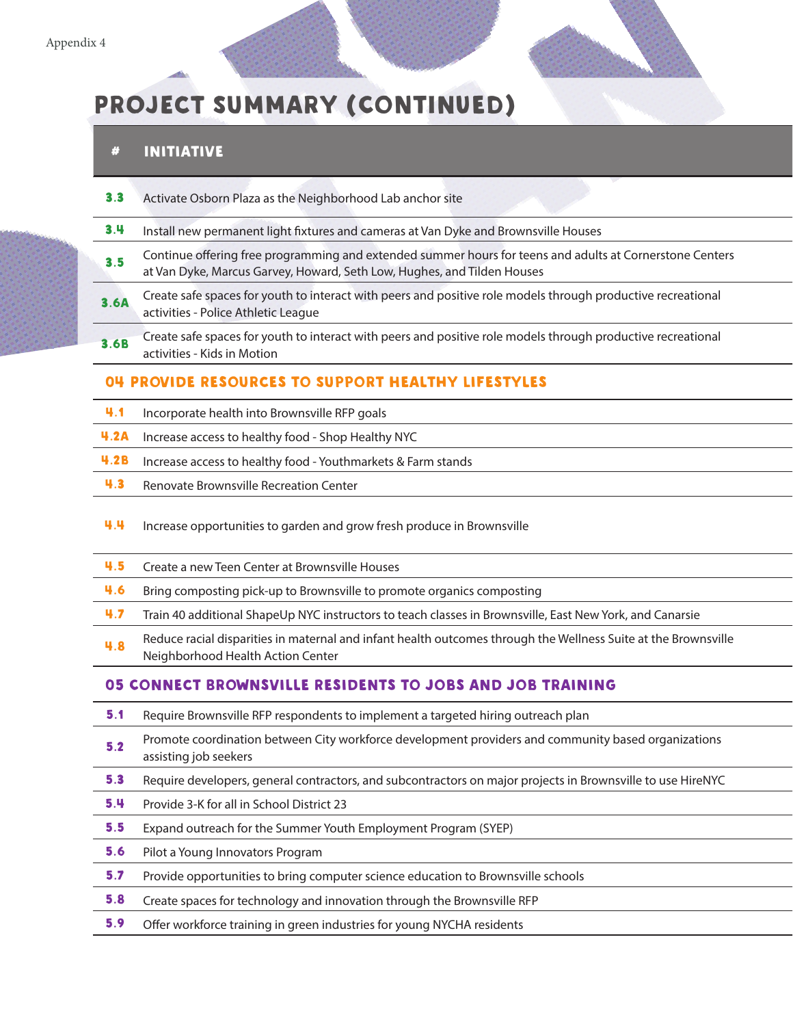# PROJECT Summary (CONTINUED)

## # Initiative Lead Agency Partners Estimated

|             | Activate Osborn Plaza as the Neighborhood Lab anchor site                                                                                                                           |
|-------------|-------------------------------------------------------------------------------------------------------------------------------------------------------------------------------------|
| 3.4         | Install new permanent light fixtures and cameras at Van Dyke and Brownsville Houses                                                                                                 |
| 3.5         | Continue offering free programming and extended summer hours for teens and adults at Cornerstone Centers<br>at Van Dyke, Marcus Garvey, Howard, Seth Low, Hughes, and Tilden Houses |
| <b>3.6A</b> | Create safe spaces for youth to interact with peers and positive role models through productive recreational<br>activities - Police Athletic League                                 |
| 3.6B        | Create safe spaces for youth to interact with peers and positive role models through productive recreational<br>activities - Kids in Motion                                         |
|             | <b>O4 PROVIDE RESOURCES TO SUPPORT HEALTHY LIFESTYLES</b>                                                                                                                           |

- 4.1 Incorporate health into Brownsville RFP goals
- 4.2A Increase access to healthy food Shop Healthy NYC
- **4.2B** Increase access to healthy food Youthmarkets & Farm stands
- 4.3 Renovate Brownsville Recreation Center
- 4.4 Increase opportunities to garden and grow fresh produce in Brownsville
- 4.5 Create a new Teen Center at Brownsville Houses
- 4.6 Bring composting pick-up to Brownsville to promote organics composting
- 4.7 Train 40 additional ShapeUp NYC instructors to teach classes in Brownsville, East New York, and Canarsie
- 4.8 Reduce racial disparities in maternal and infant health outcomes through the Wellness Suite at the Brownsville<br>Neighborhood Health Action Center neduce racial disparities in material and linarit nearth outcomes through the wellness saite at the Brownswife<br>Neighborhood Health Action Center

#### 05 Connect Brownsville Residents to Jobs and Job Training

- **5.1** Require Brownsville RFP respondents to implement a targeted hiring outreach plan
- 5.2 Promote coordination between City workforce development providers and community based organizations assisting job seekers assisting job seekers well-care with the second-providers and community based organizations.
- 5.3 Require developers, general contractors, and subcontractors on major projects in Brownsville to use HireNYC
- **5.4** Provide 3-K for all in School District 23
- **5.5** Expand outreach for the Summer Youth Employment Program (SYEP)
- **5.6** Pilot a Young Innovators Program
- 5.7 Provide opportunities to bring computer science education to Brownsville schools
- 5.8 Create spaces for technology and innovation through the Brownsville RFP
- 5.9 Offer workforce training in green industries for young NYCHA residents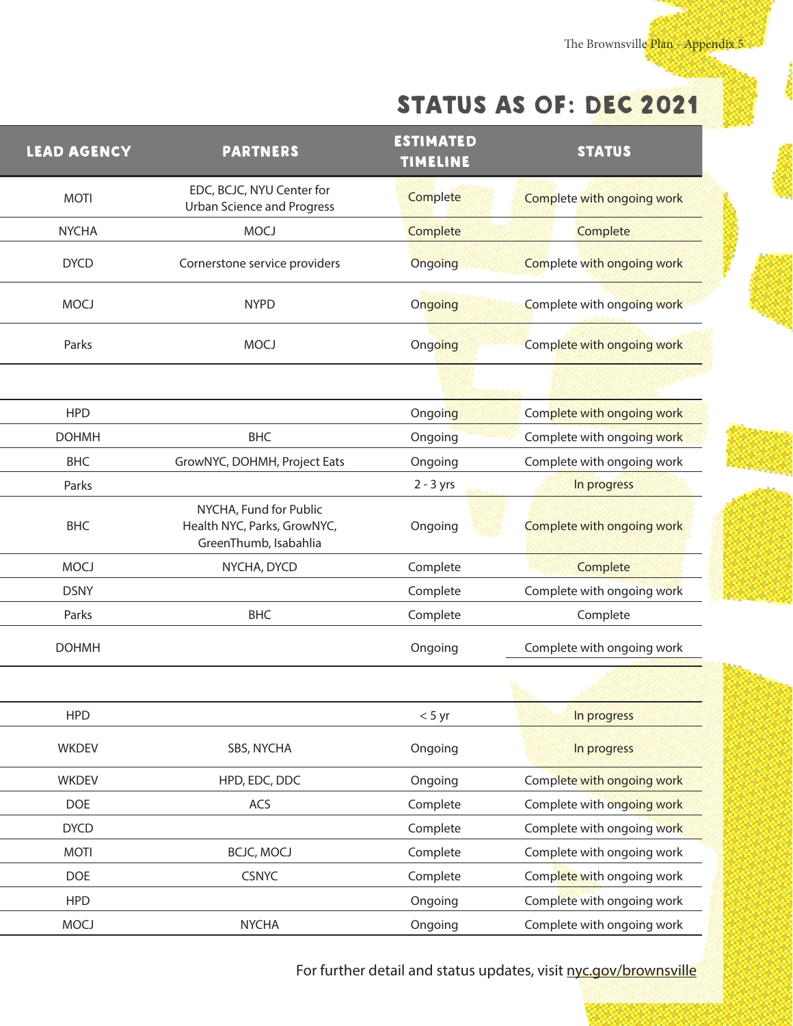The Brownsville Plan - Appendix 5

## STATUS AS OF: DEC 2021

| <b>LEAD AGENCY</b> | <b>PARTNERS</b>                                                                | <b>ESTIMATED</b><br><b>TIMELINE</b> | <b>STATUS</b>              |
|--------------------|--------------------------------------------------------------------------------|-------------------------------------|----------------------------|
| <b>MOTI</b>        | EDC, BCJC, NYU Center for<br><b>Urban Science and Progress</b>                 | Complete                            | Complete with ongoing work |
| <b>NYCHA</b>       | <b>MOCJ</b>                                                                    | Complete                            | Complete                   |
| <b>DYCD</b>        | Cornerstone service providers                                                  | Ongoing                             | Complete with ongoing work |
| <b>MOCJ</b>        | <b>NYPD</b>                                                                    | Ongoing                             | Complete with ongoing work |
| Parks              | <b>MOCJ</b>                                                                    | Ongoing                             | Complete with ongoing work |
|                    |                                                                                |                                     |                            |
| <b>HPD</b>         |                                                                                | Ongoing                             | Complete with ongoing work |
| <b>DOHMH</b>       | <b>BHC</b>                                                                     | Ongoing                             | Complete with ongoing work |
| <b>BHC</b>         | GrowNYC, DOHMH, Project Eats                                                   | Ongoing                             | Complete with ongoing work |
| Parks              |                                                                                | $2 - 3$ yrs                         | In progress                |
| <b>BHC</b>         | NYCHA, Fund for Public<br>Health NYC, Parks, GrowNYC,<br>GreenThumb, Isabahlia | Ongoing                             | Complete with ongoing work |
| <b>MOCJ</b>        | NYCHA, DYCD                                                                    | Complete                            | Complete                   |
| <b>DSNY</b>        |                                                                                | Complete                            | Complete with ongoing work |
| Parks              | <b>BHC</b>                                                                     | Complete                            | Complete                   |
| <b>DOHMH</b>       |                                                                                | Ongoing                             | Complete with ongoing work |
|                    |                                                                                |                                     |                            |
| HPD                |                                                                                | $<$ 5 yr                            | In progress                |
| WKDEV              | SBS, NYCHA                                                                     | Ongoing                             | In progress                |
| WKDEV              | HPD, EDC, DDC                                                                  | Ongoing                             | Complete with ongoing work |
| <b>DOE</b>         | ACS                                                                            | Complete                            | Complete with ongoing work |
| <b>DYCD</b>        |                                                                                | Complete                            | Complete with ongoing work |
| <b>MOTI</b>        | <b>BCJC, MOCJ</b>                                                              | Complete                            | Complete with ongoing work |
| DOE                | <b>CSNYC</b>                                                                   | Complete                            | Complete with ongoing work |
| <b>HPD</b>         |                                                                                | Ongoing                             | Complete with ongoing work |
| <b>MOCJ</b>        | <b>NYCHA</b>                                                                   | Ongoing                             | Complete with ongoing work |

For further detail and status updates, visit nyc.gov/brownsville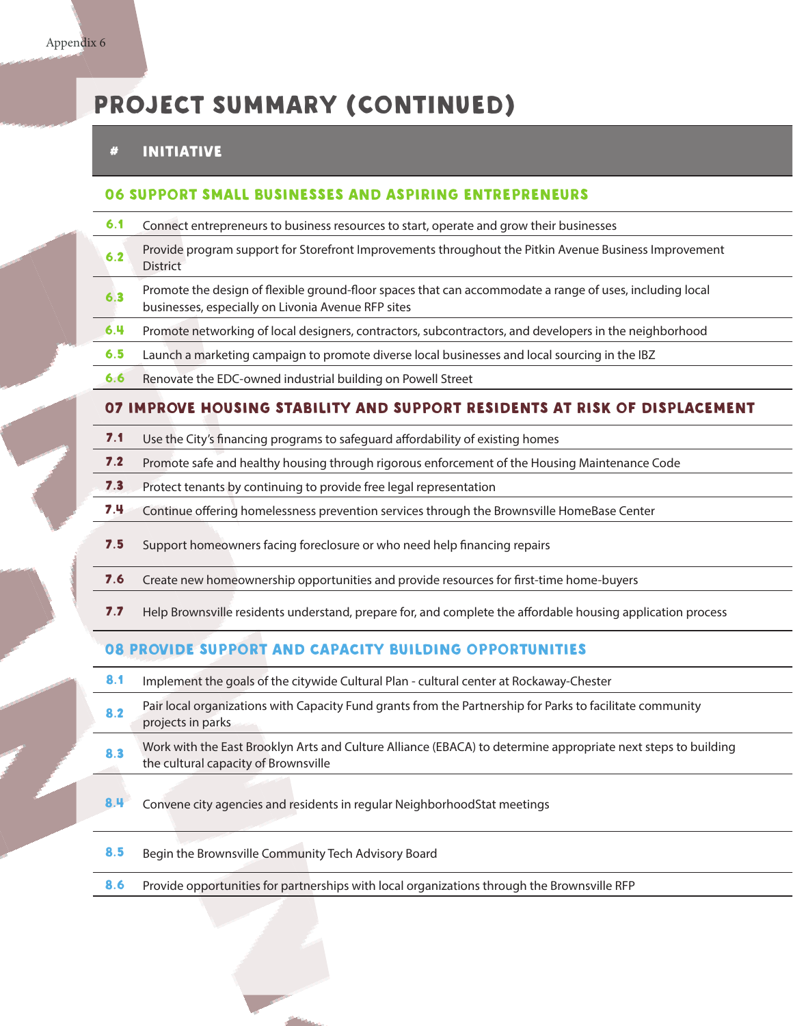## PROJECT Summary (CONTINUED)

## # Initiative Lead Agency Partners Estimated

#### 06 Support small businesses and aspiring entrepreneurs

- **6.1** Connect entrepreneurs to business resources to start, operate and grow their businesses
- 6.2 Provide program support for Storefront Improvements throughout the Pitkin Avenue Business Improvement Tovide program support for storehold improvements unoughout the Fitam Avenue Business improvement.<br>District
- 6.3 Promote the design of flexible ground-floor spaces that can accommodate a range of uses, including local businesses, especially on Livonia Avenue RFP sites
- 6.4 Promote networking of local designers, contractors, subcontractors, and developers in the neighborhood
- 6.5 Launch a marketing campaign to promote diverse local businesses and local sourcing in the IBZ
- 6.6 Renovate the EDC-owned industrial building on Powell Street

#### 07 improve housing stability and support residents at risk of displacement

- 7.1 Use the City's financing programs to safeguard affordability of existing homes
- 7.2 Promote safe and healthy housing through rigorous enforcement of the Housing Maintenance Code
- 7.3 Protect tenants by continuing to provide free legal representation
- 7.4 Continue offering homelessness prevention services through the Brownsville HomeBase Center
- 7.5 Support homeowners facing foreclosure or who need help financing repairs
- 7.6 Create new homeownership opportunities and provide resources for first-time home-buyers
- 7.7 Help Brownsville residents understand, prepare for, and complete the affordable housing application process

#### 08 Provide support and capacity building opportunities

- 8.1 Implement the goals of the citywide Cultural Plan cultural center at Rockaway-Chester
- 8.2 Pair local organizations with Capacity Fund grants from the Partnership for Parks to facilitate community<br>projects in parks projects in parks<br>Projects in parks
- 8.3 Work with the East Brooklyn Arts and Culture Alliance (EBACA) to determine appropriate next steps to building the cultural capacity of Brownsville the cultural capacity of Brownsville<br>the cultural capacity of Brownsville
- 8.4 Convene city agencies and residents in regular NeighborhoodStat meetings
- 8.5 Begin the Brownsville Community Tech Advisory Board
- 8.6 Provide opportunities for partnerships with local organizations through the Brownsville RFP